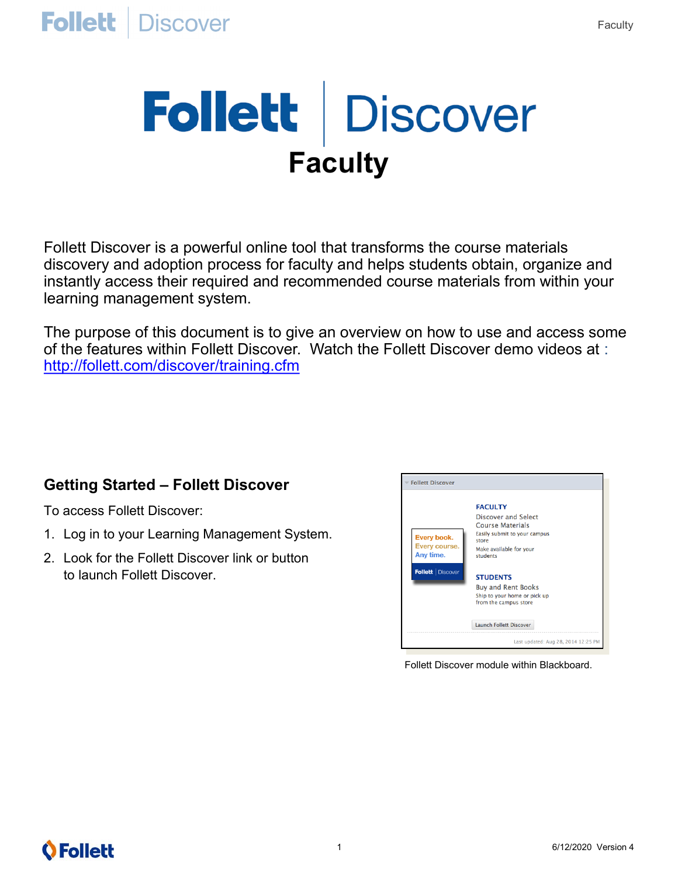# Follett | Discover **Faculty**

Follett Discover is a powerful online tool that transforms the course materials discovery and adoption process for faculty and helps students obtain, organize and instantly access their required and recommended course materials from within your learning management system.

The purpose of this document is to give an overview on how to use and access some of the features within Follett Discover. Watch the Follett Discover demo videos at : <http://follett.com/discover/training.cfm>

#### **Getting Started – Follett Discover**

To access Follett Discover:

- 1. Log in to your Learning Management System.
- 2. Look for the Follett Discover link or button to launch Follett Discover.



Follett Discover module within Blackboard.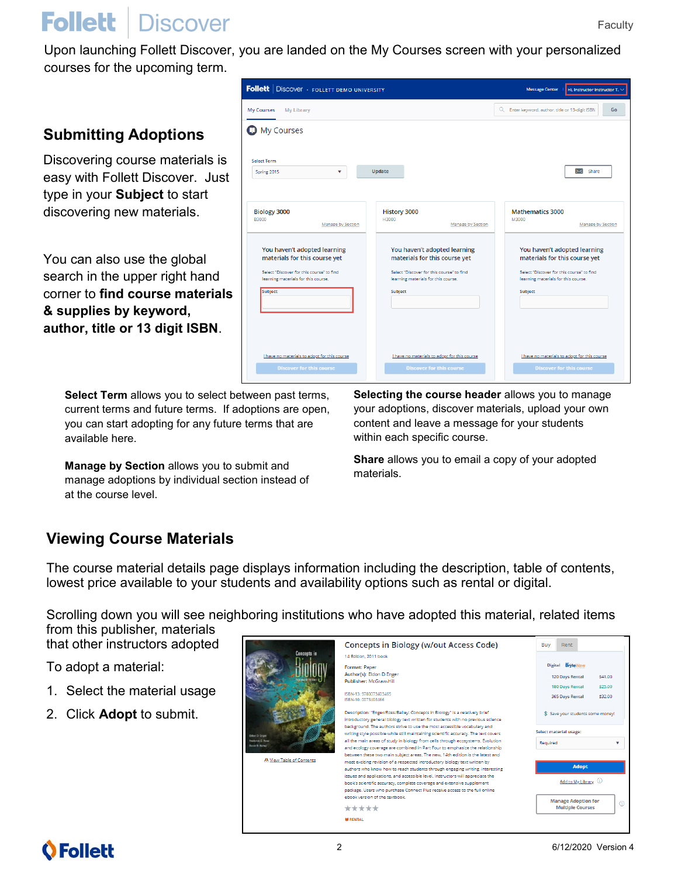Message Center | Hi, Instructor Instructor T.

 $\overline{\mathbf{S}}$  Share

Manage by Section

Q Enter keyword, author, title or 13-digit ISBN **Go** 

**Mathematics 3000** 

Subject

You haven't adopted learning

materials for this course yet

Select "Discover for this course" to find<br>learning materials for this course.

I have no materials to adopt for this course

## **Follett** | Discover

Upon launching Follett Discover, you are landed on the My Courses screen with your personalized courses for the upcoming term.

 $\mathbf{v}$ 

Manage by Section

Update

History 3000

Subject

You haven't adopted learning materials for this course yet

Select "Discover for this course" to find

Thave no materials to adopt for this course

learning materials for this cours

**Follett** | Discover · FOLLETT DEMO UNIVERSITY

My Courses My Library **O** My Courses

Select Term

Spring 2015

Biology 3000

Subject

You haven't adopted learning

materials for this course yet Select "Discover for this course" to find<br>learning materials for this course.

Thave no materials to adopt for this course

#### **Submitting Adoptions**

Discovering course materials is easy with Follett Discover. Just type in your **Subject** to start discovering new materials.

You can also use the global search in the upper right hand corner to **find course materials & supplies by keyword, author, title or 13 digit ISBN**.

> **Select Term** allows you to select between past terms, current terms and future terms. If adoptions are open, you can start adopting for any future terms that are available here.

**Manage by Section** allows you to submit and **materials. Manage by Section** allows you to submit and manage adoptions by individual section instead of at the course level.

**Selecting the course header** allows you to manage your adoptions, discover materials, upload your own content and leave a message for your students within each specific course.

Manage by Section

**Share** allows you to email a copy of your adopted

#### **Viewing Course Materials**

The course material details page displays information including the description, table of contents, lowest price available to your students and availability options such as rental or digital.

Scrolling down you will see neighboring institutions who have adopted this material, related items

from this publisher, materials that other instructors adopted

To adopt a material:

- 1. Select the material usage
- 2. Click **Adopt** to submit.

| <b>Concepts in</b><br><b>Didon D. Enger</b><br>Frederick C. Ross<br>David B. Balley<br>A View Table of Contents | <b>Concepts in Biology (w/out Access Code)</b>                                                                                                                                                                                              | Buy<br>Rent                                                      |
|-----------------------------------------------------------------------------------------------------------------|---------------------------------------------------------------------------------------------------------------------------------------------------------------------------------------------------------------------------------------------|------------------------------------------------------------------|
|                                                                                                                 | 14 Edition, 2011 book                                                                                                                                                                                                                       |                                                                  |
|                                                                                                                 | Format: Paper                                                                                                                                                                                                                               | Digital <b>BryteWave</b>                                         |
|                                                                                                                 | Author(s): Eldon D Enger<br>Publisher: McGraw-Hill                                                                                                                                                                                          | 120 Days Rental<br>\$41.00                                       |
|                                                                                                                 | ISBN-13: 9780073403465<br>ISBN-10: 0073403466                                                                                                                                                                                               | <b>180 Days Rental</b><br>\$25.00<br>\$32.00<br>365 Days Rental  |
|                                                                                                                 | Description: "Enger/Ross/Bailey: Concepts in Biology" is a relatively brief<br>introductory general biology text written for students with no previous science                                                                              | \$ Save your students some money!                                |
|                                                                                                                 | background. The authors strive to use the most accessible vocabulary and<br>writing style possible while still maintaining scientific accuracy. The text covers                                                                             | Select material usage:                                           |
|                                                                                                                 | all the main areas of study in biology from cells through ecosystems. Evolution<br>and ecology coverage are combined in Part Four to emphasize the relationship                                                                             | Required                                                         |
|                                                                                                                 | between these two main subject areas. The new, 14th edition is the latest and<br>most exciting revision of a respected introductory biology text written by<br>authors who know how to reach students through engaging writing, interesting | <b>Adopt</b>                                                     |
|                                                                                                                 | issues and applications, and accessible level. Instructors will appreciate the<br>book's scientific accuracy, complete coverage and extensive supplement<br>package. Users who purchase Connect Plus receive access to the full online      | Add to My Library (i)                                            |
|                                                                                                                 | ebook version of the textbook<br>*****                                                                                                                                                                                                      | <b>Manage Adoption for</b><br>$\circ$<br><b>Multiple Courses</b> |
|                                                                                                                 | <b>W RENTAL</b>                                                                                                                                                                                                                             |                                                                  |